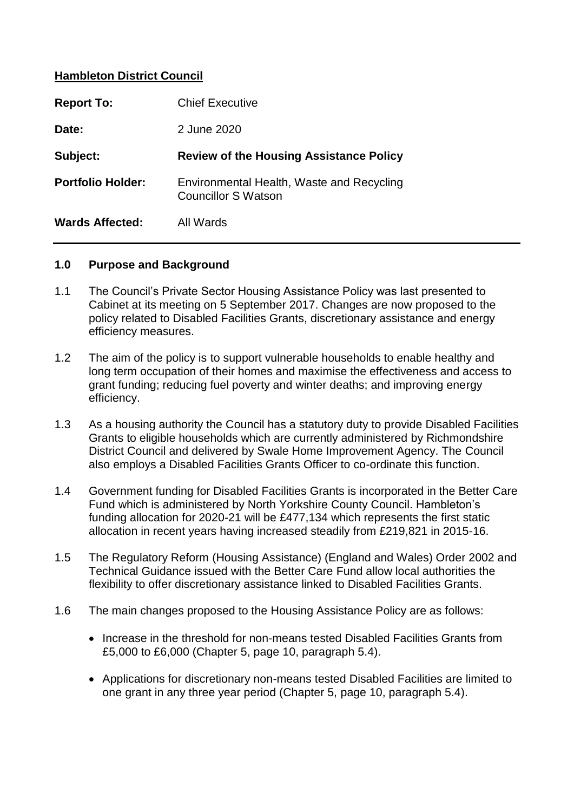## **Hambleton District Council**

| <b>Report To:</b>        | <b>Chief Executive</b>                                                  |
|--------------------------|-------------------------------------------------------------------------|
| Date:                    | 2 June 2020                                                             |
| Subject:                 | <b>Review of the Housing Assistance Policy</b>                          |
| <b>Portfolio Holder:</b> | Environmental Health, Waste and Recycling<br><b>Councillor S Watson</b> |
|                          |                                                                         |

#### **1.0 Purpose and Background**

- 1.1 The Council's Private Sector Housing Assistance Policy was last presented to Cabinet at its meeting on 5 September 2017. Changes are now proposed to the policy related to Disabled Facilities Grants, discretionary assistance and energy efficiency measures.
- 1.2 The aim of the policy is to support vulnerable households to enable healthy and long term occupation of their homes and maximise the effectiveness and access to grant funding; reducing fuel poverty and winter deaths; and improving energy efficiency.
- 1.3 As a housing authority the Council has a statutory duty to provide Disabled Facilities Grants to eligible households which are currently administered by Richmondshire District Council and delivered by Swale Home Improvement Agency. The Council also employs a Disabled Facilities Grants Officer to co-ordinate this function.
- 1.4 Government funding for Disabled Facilities Grants is incorporated in the Better Care Fund which is administered by North Yorkshire County Council. Hambleton's funding allocation for 2020-21 will be £477,134 which represents the first static allocation in recent years having increased steadily from £219,821 in 2015-16.
- 1.5 The Regulatory Reform (Housing Assistance) (England and Wales) Order 2002 and Technical Guidance issued with the Better Care Fund allow local authorities the flexibility to offer discretionary assistance linked to Disabled Facilities Grants.
- 1.6 The main changes proposed to the Housing Assistance Policy are as follows:
	- Increase in the threshold for non-means tested Disabled Facilities Grants from £5,000 to £6,000 (Chapter 5, page 10, paragraph 5.4).
	- Applications for discretionary non-means tested Disabled Facilities are limited to one grant in any three year period (Chapter 5, page 10, paragraph 5.4).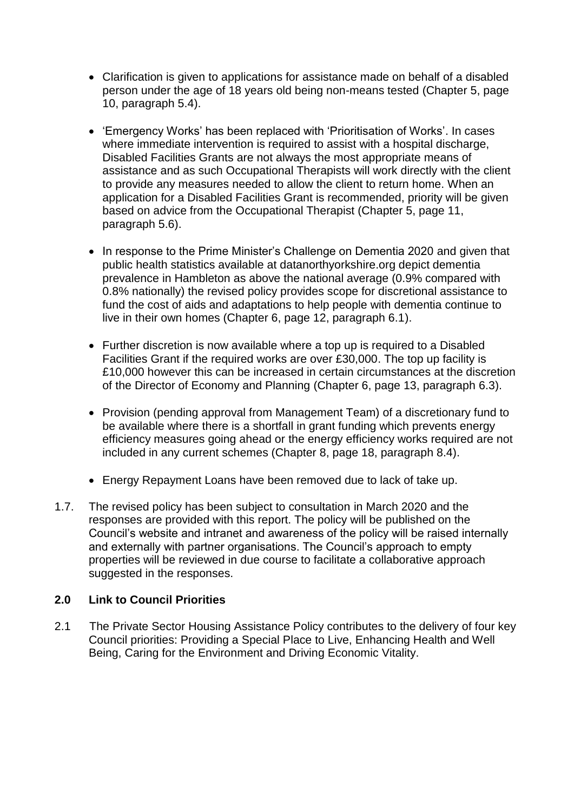- Clarification is given to applications for assistance made on behalf of a disabled person under the age of 18 years old being non-means tested (Chapter 5, page 10, paragraph 5.4).
- 'Emergency Works' has been replaced with 'Prioritisation of Works'. In cases where immediate intervention is required to assist with a hospital discharge, Disabled Facilities Grants are not always the most appropriate means of assistance and as such Occupational Therapists will work directly with the client to provide any measures needed to allow the client to return home. When an application for a Disabled Facilities Grant is recommended, priority will be given based on advice from the Occupational Therapist (Chapter 5, page 11, paragraph 5.6).
- In response to the Prime Minister's Challenge on Dementia 2020 and given that public health statistics available at datanorthyorkshire.org depict dementia prevalence in Hambleton as above the national average (0.9% compared with 0.8% nationally) the revised policy provides scope for discretional assistance to fund the cost of aids and adaptations to help people with dementia continue to live in their own homes (Chapter 6, page 12, paragraph 6.1).
- Further discretion is now available where a top up is required to a Disabled Facilities Grant if the required works are over £30,000. The top up facility is £10,000 however this can be increased in certain circumstances at the discretion of the Director of Economy and Planning (Chapter 6, page 13, paragraph 6.3).
- Provision (pending approval from Management Team) of a discretionary fund to be available where there is a shortfall in grant funding which prevents energy efficiency measures going ahead or the energy efficiency works required are not included in any current schemes (Chapter 8, page 18, paragraph 8.4).
- Energy Repayment Loans have been removed due to lack of take up.
- 1.7. The revised policy has been subject to consultation in March 2020 and the responses are provided with this report. The policy will be published on the Council's website and intranet and awareness of the policy will be raised internally and externally with partner organisations. The Council's approach to empty properties will be reviewed in due course to facilitate a collaborative approach suggested in the responses.

# **2.0 Link to Council Priorities**

2.1 The Private Sector Housing Assistance Policy contributes to the delivery of four key Council priorities: Providing a Special Place to Live, Enhancing Health and Well Being, Caring for the Environment and Driving Economic Vitality.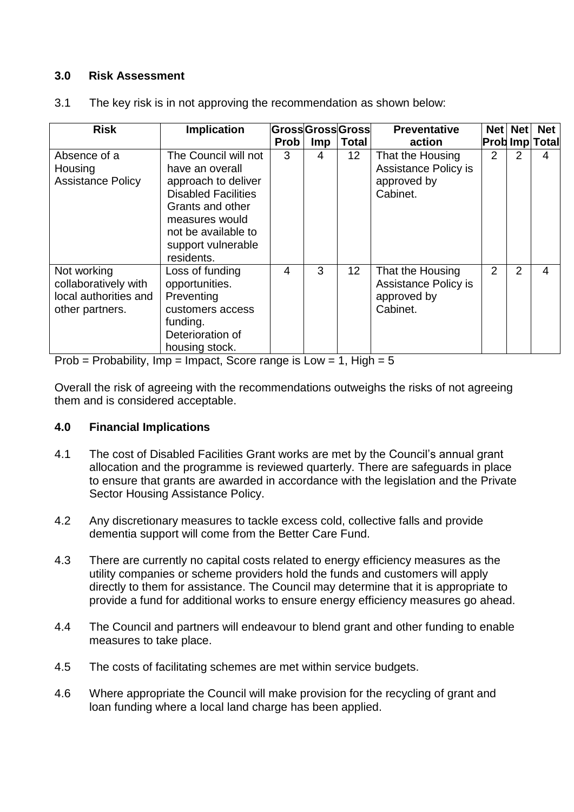# **3.0 Risk Assessment**

| <b>Risk</b>                                                                     | Implication                                                                                                                                                                                   |      |            | GrossGrossGross | <b>Preventative</b>                                                 | <b>Net</b>     | <b>Net</b>     | <b>Net</b>            |
|---------------------------------------------------------------------------------|-----------------------------------------------------------------------------------------------------------------------------------------------------------------------------------------------|------|------------|-----------------|---------------------------------------------------------------------|----------------|----------------|-----------------------|
|                                                                                 |                                                                                                                                                                                               | Prob | <b>Imp</b> | <b>Total</b>    | action                                                              |                |                | <b>Prob Imp Total</b> |
| Absence of a<br>Housing<br><b>Assistance Policy</b>                             | The Council will not<br>have an overall<br>approach to deliver<br><b>Disabled Facilities</b><br>Grants and other<br>measures would<br>not be available to<br>support vulnerable<br>residents. | 3    | 4          | 12 <sub>2</sub> | That the Housing<br>Assistance Policy is<br>approved by<br>Cabinet. | 2              | 2              | 4                     |
| Not working<br>collaboratively with<br>local authorities and<br>other partners. | Loss of funding<br>opportunities.<br>Preventing<br>customers access<br>funding.<br>Deterioration of<br>housing stock.                                                                         | 4    | 3          | 12 <sub>2</sub> | That the Housing<br>Assistance Policy is<br>approved by<br>Cabinet. | $\overline{2}$ | $\overline{2}$ | $\overline{4}$        |

3.1 The key risk is in not approving the recommendation as shown below:

Prob = Probability, Imp = Impact, Score range is  $Low = 1$ , High = 5

Overall the risk of agreeing with the recommendations outweighs the risks of not agreeing them and is considered acceptable.

# **4.0 Financial Implications**

- 4.1 The cost of Disabled Facilities Grant works are met by the Council's annual grant allocation and the programme is reviewed quarterly. There are safeguards in place to ensure that grants are awarded in accordance with the legislation and the Private Sector Housing Assistance Policy.
- 4.2 Any discretionary measures to tackle excess cold, collective falls and provide dementia support will come from the Better Care Fund.
- 4.3 There are currently no capital costs related to energy efficiency measures as the utility companies or scheme providers hold the funds and customers will apply directly to them for assistance. The Council may determine that it is appropriate to provide a fund for additional works to ensure energy efficiency measures go ahead.
- 4.4 The Council and partners will endeavour to blend grant and other funding to enable measures to take place.
- 4.5 The costs of facilitating schemes are met within service budgets.
- 4.6 Where appropriate the Council will make provision for the recycling of grant and loan funding where a local land charge has been applied.